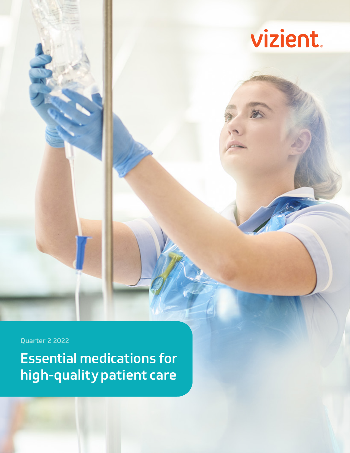

Essential medications for high-quality patient care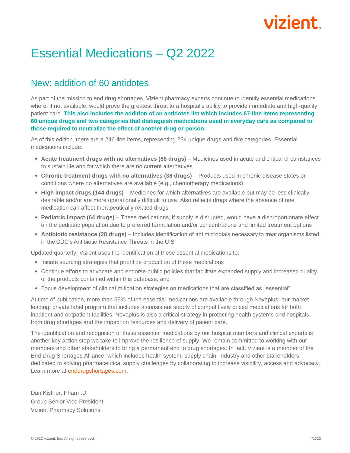#### Essential Medications – Q2 2022

#### New: addition of 60 antidotes

As part of the mission to end drug shortages, Vizient pharmacy experts continue to identify essential medications where, if not available, would prove the greatest threat to a hospital's ability to provide immediate and high-quality patient care. **This also includes the addition of an antidotes list which includes 67-line items representing 60 unique drugs and two categories that distinguish medications used in everyday care as compared to those required to neutralize the effect of another drug or poison.**

As of this edition, there are a 246-line items, representing 234 unique drugs and five categories. Essential medications include:

- **Acute treatment drugs with no alternatives (66 drugs)** Medicines used in acute and critical circumstances to sustain life and for which there are no current alternatives
- **Chronic treatment drugs with no alternatives (36 drugs)** Products used in chronic disease states or conditions where no alternatives are available (e.g., chemotherapy medications)
- **High impact drugs (144 drugs)** Medicines for which alternatives are available but may be less clinically desirable and/or are more operationally difficult to use. Also reflects drugs where the absence of one medication can affect therapeutically related drugs
- **Pediatric impact (64 drugs)** These medications, if supply is disrupted, would have a disproportionate effect on the pediatric population due to preferred formulation and/or concentrations and limited treatment options
- **Antibiotic resistance (28 drugs)** Includes identification of antimicrobials necessary to treat organisms listed in the CDC's Antibiotic Resistance Threats in the U.S

Updated quarterly, Vizient uses the identification of these essential medications to:

- Initiate sourcing strategies that prioritize production of these medications
- Continue efforts to advocate and endorse public policies that facilitate expanded supply and increased quality of the products contained within this database, and
- Focus development of clinical mitigation strategies on medications that are classified as "essential"

At time of publication, more than 55% of the essential medications are available through Novaplus, our marketleading, private label program that includes a consistent supply of competitively priced medications for both inpatient and outpatient facilities. Novaplus is also a critical strategy in protecting health systems and hospitals from drug shortages and the impact on resources and delivery of patient care.

The identification and recognition of these essential medications by our hospital members and clinical experts is another key action step we take to improve the resilience of supply. We remain committed to working with our members and other stakeholders to bring a permanent end to drug shortages. In fact, Vizient is a member of the End Drug Shortages Alliance, which includes health system, supply chain, industry and other stakeholders dedicated to solving pharmaceutical supply challenges by collaborating to increase visibility, access and advocacy. Learn more at [enddrugshortages.com.](https://www.vizientinc.com/enddrugshortages)

Dan Kistner, Pharm.D Group Senior Vice President Vizient Pharmacy Solutions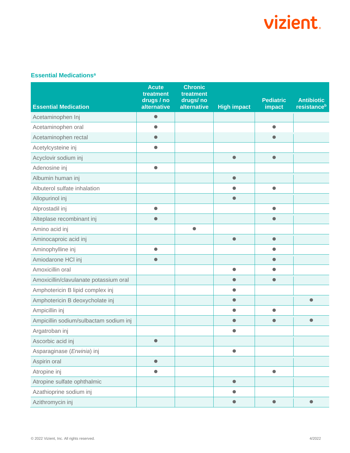#### **Essential Medications<sup>a</sup>**

| <b>Essential Medication</b>            | <b>Acute</b><br>treatment<br>drugs / no<br>alternative | <b>Chronic</b><br>treatment<br>drugs/no<br>alternative | <b>High impact</b> | <b>Pediatric</b><br><b>impact</b> | <b>Antibiotic</b><br>resistance <sup>b</sup> |
|----------------------------------------|--------------------------------------------------------|--------------------------------------------------------|--------------------|-----------------------------------|----------------------------------------------|
| Acetaminophen Inj                      | $\bullet$                                              |                                                        |                    |                                   |                                              |
| Acetaminophen oral                     | $\bullet$                                              |                                                        |                    | $\bullet$                         |                                              |
| Acetaminophen rectal                   | $\bullet$                                              |                                                        |                    | $\bullet$                         |                                              |
| Acetylcysteine inj                     | $\bullet$                                              |                                                        |                    |                                   |                                              |
| Acyclovir sodium inj                   |                                                        |                                                        | $\bullet$          | $\bullet$                         |                                              |
| Adenosine inj                          | $\bullet$                                              |                                                        |                    |                                   |                                              |
| Albumin human inj                      |                                                        |                                                        | $\bullet$          |                                   |                                              |
| Albuterol sulfate inhalation           |                                                        |                                                        | $\bullet$          | $\bullet$                         |                                              |
| Allopurinol inj                        |                                                        |                                                        | $\bullet$          |                                   |                                              |
| Alprostadil inj                        | $\bullet$                                              |                                                        |                    | $\bullet$                         |                                              |
| Alteplase recombinant inj              | $\bullet$                                              |                                                        |                    | $\bullet$                         |                                              |
| Amino acid inj                         |                                                        | $\bullet$                                              |                    |                                   |                                              |
| Aminocaproic acid inj                  |                                                        |                                                        | $\bullet$          | $\bullet$                         |                                              |
| Aminophylline inj                      | $\bullet$                                              |                                                        |                    | $\bullet$                         |                                              |
| Amiodarone HCl inj                     | $\bullet$                                              |                                                        |                    | $\bullet$                         |                                              |
| Amoxicillin oral                       |                                                        |                                                        | $\bullet$          | $\bullet$                         |                                              |
| Amoxicillin/clavulanate potassium oral |                                                        |                                                        | $\bullet$          | $\bullet$                         |                                              |
| Amphotericin B lipid complex inj       |                                                        |                                                        | $\bullet$          |                                   |                                              |
| Amphotericin B deoxycholate inj        |                                                        |                                                        | $\bullet$          |                                   | $\bullet$                                    |
| Ampicillin inj                         |                                                        |                                                        | $\bullet$          | $\bullet$                         |                                              |
| Ampicillin sodium/sulbactam sodium inj |                                                        |                                                        | $\bullet$          | $\bullet$                         | $\bullet$                                    |
| Argatroban inj                         |                                                        |                                                        | $\bullet$          |                                   |                                              |
| Ascorbic acid inj                      | $\bullet$                                              |                                                        |                    |                                   |                                              |
| Asparaginase (Erwinia) inj             |                                                        |                                                        | $\bullet$          |                                   |                                              |
| Aspirin oral                           | $\bullet$                                              |                                                        |                    |                                   |                                              |
| Atropine inj                           | $\bullet$                                              |                                                        |                    | $\bullet$                         |                                              |
| Atropine sulfate ophthalmic            |                                                        |                                                        | $\bullet$          |                                   |                                              |
| Azathioprine sodium inj                |                                                        |                                                        |                    |                                   |                                              |
| Azithromycin inj                       |                                                        |                                                        | $\bullet$          | $\bullet$                         | $\bullet$                                    |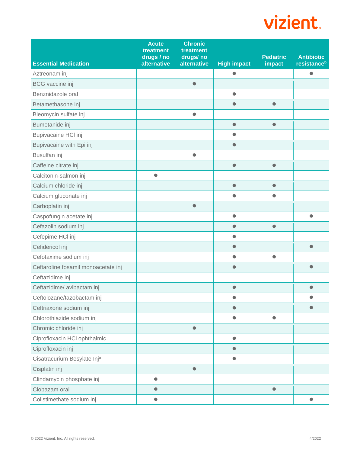| <b>Essential Medication</b>         | <b>Acute</b><br>treatment<br>drugs / no<br>alternative | <b>Chronic</b><br>treatment<br>drugs/no<br>alternative | <b>High impact</b> | <b>Pediatric</b><br>impact | <b>Antibiotic</b><br>resistance <sup>b</sup> |
|-------------------------------------|--------------------------------------------------------|--------------------------------------------------------|--------------------|----------------------------|----------------------------------------------|
| Aztreonam inj                       |                                                        |                                                        | $\bullet$          |                            | $\bullet$                                    |
| <b>BCG</b> vaccine inj              |                                                        | $\bullet$                                              |                    |                            |                                              |
| Benznidazole oral                   |                                                        |                                                        | $\bullet$          |                            |                                              |
| Betamethasone inj                   |                                                        |                                                        | $\bullet$          | $\bullet$                  |                                              |
| Bleomycin sulfate inj               |                                                        | $\bullet$                                              |                    |                            |                                              |
| Bumetanide inj                      |                                                        |                                                        | $\bullet$          | $\bullet$                  |                                              |
| Bupivacaine HCI inj                 |                                                        |                                                        | ●                  |                            |                                              |
| Bupivacaine with Epi inj            |                                                        |                                                        | $\bullet$          |                            |                                              |
| Busulfan inj                        |                                                        | $\bullet$                                              |                    |                            |                                              |
| Caffeine citrate inj                |                                                        |                                                        | $\bullet$          | $\bullet$                  |                                              |
| Calcitonin-salmon inj               | $\bullet$                                              |                                                        |                    |                            |                                              |
| Calcium chloride inj                |                                                        |                                                        | $\bullet$          | $\bullet$                  |                                              |
| Calcium gluconate inj               |                                                        |                                                        | $\bullet$          | $\bullet$                  |                                              |
| Carboplatin inj                     |                                                        | $\bullet$                                              |                    |                            |                                              |
| Caspofungin acetate inj             |                                                        |                                                        | $\bullet$          |                            | $\bullet$                                    |
| Cefazolin sodium inj                |                                                        |                                                        | $\bullet$          | $\bullet$                  |                                              |
| Cefepime HCl inj                    |                                                        |                                                        | $\bullet$          |                            |                                              |
| Cefidericol inj                     |                                                        |                                                        | $\bullet$          |                            | $\bullet$                                    |
| Cefotaxime sodium inj               |                                                        |                                                        | $\bullet$          | $\bullet$                  |                                              |
| Ceftaroline fosamil monoacetate inj |                                                        |                                                        | $\bullet$          |                            | O                                            |
| Ceftazidime inj                     |                                                        |                                                        |                    |                            |                                              |
| Ceftazidime/ avibactam inj          |                                                        |                                                        | $\bullet$          |                            | O                                            |
| Ceftolozane/tazobactam inj          |                                                        |                                                        |                    |                            |                                              |
| Ceftriaxone sodium inj              |                                                        |                                                        |                    |                            | $\bullet$                                    |
| Chlorothiazide sodium inj           |                                                        |                                                        | $\bullet$          | $\bullet$                  |                                              |
| Chromic chloride inj                |                                                        | $\bullet$                                              |                    |                            |                                              |
| Ciprofloxacin HCl ophthalmic        |                                                        |                                                        | $\bullet$          |                            |                                              |
| Ciprofloxacin inj                   |                                                        |                                                        | $\bullet$          |                            |                                              |
| Cisatracurium Besylate Inja         |                                                        |                                                        | $\bullet$          |                            |                                              |
| Cisplatin inj                       |                                                        | $\bullet$                                              |                    |                            |                                              |
| Clindamycin phosphate inj           | $\bullet$                                              |                                                        |                    |                            |                                              |
| Clobazam oral                       | $\bullet$                                              |                                                        |                    | $\bullet$                  |                                              |
| Colistimethate sodium inj           | $\bullet$                                              |                                                        |                    |                            | $\bullet$                                    |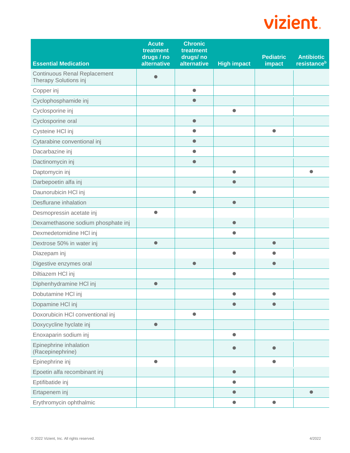|                                                              | <b>Acute</b><br>treatment<br>drugs / no | <b>Chronic</b><br>treatment<br>drugs/no |                    | <b>Pediatric</b> | <b>Antibiotic</b>       |
|--------------------------------------------------------------|-----------------------------------------|-----------------------------------------|--------------------|------------------|-------------------------|
| <b>Essential Medication</b>                                  | alternative                             | alternative                             | <b>High impact</b> | impact           | resistance <sup>b</sup> |
| <b>Continuous Renal Replacement</b><br>Therapy Solutions inj |                                         |                                         |                    |                  |                         |
| Copper inj                                                   |                                         | $\bullet$                               |                    |                  |                         |
| Cyclophosphamide inj                                         |                                         | $\bullet$                               |                    |                  |                         |
| Cyclosporine inj                                             |                                         |                                         | $\bullet$          |                  |                         |
| Cyclosporine oral                                            |                                         | $\bullet$                               |                    |                  |                         |
| Cysteine HCI inj                                             |                                         | $\bullet$                               |                    | $\bullet$        |                         |
| Cytarabine conventional inj                                  |                                         | $\bullet$                               |                    |                  |                         |
| Dacarbazine inj                                              |                                         | $\bullet$                               |                    |                  |                         |
| Dactinomycin inj                                             |                                         | $\bullet$                               |                    |                  |                         |
| Daptomycin inj                                               |                                         |                                         | $\bullet$          |                  | $\bullet$               |
| Darbepoetin alfa inj                                         |                                         |                                         | $\bullet$          |                  |                         |
| Daunorubicin HCl inj                                         |                                         | $\bullet$                               |                    |                  |                         |
| Desflurane inhalation                                        |                                         |                                         | $\bullet$          |                  |                         |
| Desmopressin acetate inj                                     | $\bullet$                               |                                         |                    |                  |                         |
| Dexamethasone sodium phosphate inj                           |                                         |                                         | $\bullet$          |                  |                         |
| Dexmedetomidine HCI inj                                      |                                         |                                         | $\bullet$          |                  |                         |
| Dextrose 50% in water inj                                    | $\bullet$                               |                                         |                    | $\bullet$        |                         |
| Diazepam inj                                                 |                                         |                                         | $\bullet$          | $\bullet$        |                         |
| Digestive enzymes oral                                       |                                         | $\bullet$                               |                    | $\bullet$        |                         |
| Diltiazem HCI inj                                            |                                         |                                         | $\bullet$          |                  |                         |
| Diphenhydramine HCI inj                                      | $\bullet$                               |                                         |                    |                  |                         |
| Dobutamine HCI inj                                           |                                         |                                         | $\bullet$          | $\bullet$        |                         |
| Dopamine HCl inj                                             |                                         |                                         | $\bullet$          | $\bullet$        |                         |
| Doxorubicin HCI conventional inj                             |                                         | $\bullet$                               |                    |                  |                         |
| Doxycycline hyclate inj                                      | $\bullet$                               |                                         |                    |                  |                         |
| Enoxaparin sodium inj                                        |                                         |                                         | $\bullet$          |                  |                         |
| Epinephrine inhalation<br>(Racepinephrine)                   |                                         |                                         | $\bullet$          | $\bullet$        |                         |
| Epinephrine inj                                              | $\bullet$                               |                                         |                    | $\bullet$        |                         |
| Epoetin alfa recombinant inj                                 |                                         |                                         | $\bullet$          |                  |                         |
| Eptifibatide inj                                             |                                         |                                         | $\bullet$          |                  |                         |
| Ertapenem inj                                                |                                         |                                         | $\bullet$          |                  | $\bullet$               |
| Erythromycin ophthalmic                                      |                                         |                                         | $\bullet$          | $\bullet$        |                         |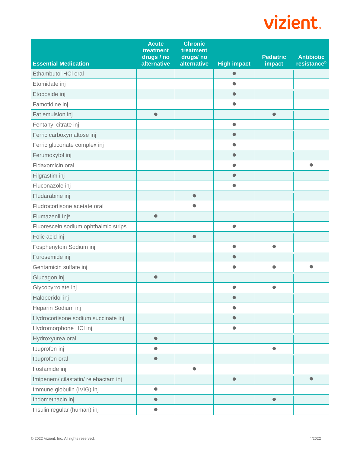| <b>Essential Medication</b>          | <b>Acute</b><br>treatment<br>drugs / no<br>alternative | <b>Chronic</b><br>treatment<br>drugs/no<br>alternative | <b>High impact</b> | <b>Pediatric</b><br>impact | <b>Antibiotic</b><br>resistance <sup>b</sup> |
|--------------------------------------|--------------------------------------------------------|--------------------------------------------------------|--------------------|----------------------------|----------------------------------------------|
| Ethambutol HCI oral                  |                                                        |                                                        | $\bullet$          |                            |                                              |
| Etomidate inj                        |                                                        |                                                        | $\bullet$          |                            |                                              |
| Etoposide inj                        |                                                        |                                                        | $\bullet$          |                            |                                              |
| Famotidine inj                       |                                                        |                                                        | $\bullet$          |                            |                                              |
| Fat emulsion inj                     | $\bullet$                                              |                                                        |                    | $\bullet$                  |                                              |
| Fentanyl citrate inj                 |                                                        |                                                        | $\bullet$          |                            |                                              |
| Ferric carboxymaltose inj            |                                                        |                                                        | $\bullet$          |                            |                                              |
| Ferric gluconate complex inj         |                                                        |                                                        | $\bullet$          |                            |                                              |
| Ferumoxytol inj                      |                                                        |                                                        | $\bullet$          |                            |                                              |
| Fidaxomicin oral                     |                                                        |                                                        | $\bullet$          |                            | ●                                            |
| Filgrastim inj                       |                                                        |                                                        |                    |                            |                                              |
| Fluconazole inj                      |                                                        |                                                        | $\bullet$          |                            |                                              |
| Fludarabine inj                      |                                                        | $\bullet$                                              |                    |                            |                                              |
| Fludrocortisone acetate oral         |                                                        | $\bullet$                                              |                    |                            |                                              |
| Flumazenil Inj <sup>a</sup>          | $\bullet$                                              |                                                        |                    |                            |                                              |
| Fluorescein sodium ophthalmic strips |                                                        |                                                        | $\bullet$          |                            |                                              |
| Folic acid inj                       |                                                        | $\bullet$                                              |                    |                            |                                              |
| Fosphenytoin Sodium inj              |                                                        |                                                        | $\bullet$          | $\bullet$                  |                                              |
| Furosemide inj                       |                                                        |                                                        | $\bullet$          |                            |                                              |
| Gentamicin sulfate inj               |                                                        |                                                        | $\bullet$          | $\bullet$                  | $\bullet$                                    |
| Glucagon inj                         | $\bullet$                                              |                                                        |                    |                            |                                              |
| Glycopyrrolate inj                   |                                                        |                                                        | $\bullet$          | $\bullet$                  |                                              |
| Haloperidol inj                      |                                                        |                                                        |                    |                            |                                              |
| Heparin Sodium inj                   |                                                        |                                                        | $\bullet$          |                            |                                              |
| Hydrocortisone sodium succinate inj  |                                                        |                                                        | $\bullet$          |                            |                                              |
| Hydromorphone HCl inj                |                                                        |                                                        | $\bullet$          |                            |                                              |
| Hydroxyurea oral                     | $\bullet$                                              |                                                        |                    |                            |                                              |
| Ibuprofen inj                        | $\bullet$                                              |                                                        |                    | ●                          |                                              |
| Ibuprofen oral                       | $\bullet$                                              |                                                        |                    |                            |                                              |
| Ifosfamide inj                       |                                                        | $\bullet$                                              |                    |                            |                                              |
| Imipenem/cilastatin/relebactam inj   |                                                        |                                                        | $\bullet$          |                            | $\bullet$                                    |
| Immune globulin (IVIG) inj           | $\bullet$                                              |                                                        |                    |                            |                                              |
| Indomethacin inj                     | $\bullet$                                              |                                                        |                    | $\bullet$                  |                                              |
| Insulin regular (human) inj          | $\bullet$                                              |                                                        |                    |                            |                                              |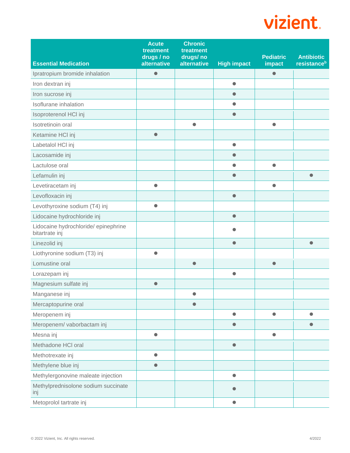| <b>Essential Medication</b>                            | <b>Acute</b><br>treatment<br>drugs / no<br>alternative | <b>Chronic</b><br>treatment<br>drugs/no<br>alternative | <b>High impact</b> | <b>Pediatric</b><br>impact | <b>Antibiotic</b><br>resistance <sup>b</sup> |
|--------------------------------------------------------|--------------------------------------------------------|--------------------------------------------------------|--------------------|----------------------------|----------------------------------------------|
| Ipratropium bromide inhalation                         | $\bullet$                                              |                                                        |                    | $\bullet$                  |                                              |
| Iron dextran inj                                       |                                                        |                                                        | $\bullet$          |                            |                                              |
| Iron sucrose inj                                       |                                                        |                                                        | $\bullet$          |                            |                                              |
| Isoflurane inhalation                                  |                                                        |                                                        | $\bullet$          |                            |                                              |
| Isoproterenol HCI inj                                  |                                                        |                                                        | $\bullet$          |                            |                                              |
| Isotretinoin oral                                      |                                                        | $\bullet$                                              |                    | $\bullet$                  |                                              |
| Ketamine HCI inj                                       | $\bullet$                                              |                                                        |                    |                            |                                              |
| Labetalol HCl inj                                      |                                                        |                                                        | $\bullet$          |                            |                                              |
| Lacosamide inj                                         |                                                        |                                                        |                    |                            |                                              |
| Lactulose oral                                         |                                                        |                                                        | $\bullet$          | $\bullet$                  |                                              |
| Lefamulin inj                                          |                                                        |                                                        | 0                  |                            | $\bullet$                                    |
| Levetiracetam inj                                      | $\bullet$                                              |                                                        |                    | $\bullet$                  |                                              |
| Levofloxacin inj                                       |                                                        |                                                        | $\bullet$          |                            |                                              |
| Levothyroxine sodium (T4) inj                          | $\bullet$                                              |                                                        |                    |                            |                                              |
| Lidocaine hydrochloride inj                            |                                                        |                                                        | $\bullet$          |                            |                                              |
| Lidocaine hydrochloride/ epinephrine<br>bitartrate inj |                                                        |                                                        |                    |                            |                                              |
| Linezolid inj                                          |                                                        |                                                        | $\bullet$          |                            | $\bullet$                                    |
| Liothyronine sodium (T3) inj                           | $\bullet$                                              |                                                        |                    |                            |                                              |
| Lomustine oral                                         |                                                        | $\bullet$                                              |                    | $\bullet$                  |                                              |
| Lorazepam inj                                          |                                                        |                                                        | $\bullet$          |                            |                                              |
| Magnesium sulfate inj                                  | $\bullet$                                              |                                                        |                    |                            |                                              |
| Manganese inj                                          |                                                        |                                                        |                    |                            |                                              |
| Mercaptopurine oral                                    |                                                        | $\bullet$                                              |                    |                            |                                              |
| Meropenem inj                                          |                                                        |                                                        | $\bullet$          | $\bullet$                  | 0                                            |
| Meropenem/ vaborbactam inj                             |                                                        |                                                        | $\bullet$          |                            | O                                            |
| Mesna inj                                              | $\bullet$                                              |                                                        |                    | $\bullet$                  |                                              |
| Methadone HCI oral                                     |                                                        |                                                        | $\bullet$          |                            |                                              |
| Methotrexate inj                                       | $\bullet$                                              |                                                        |                    |                            |                                              |
| Methylene blue inj                                     | $\bullet$                                              |                                                        |                    |                            |                                              |
| Methylergonovine maleate injection                     |                                                        |                                                        | $\bullet$          |                            |                                              |
| Methylprednisolone sodium succinate<br>inj             |                                                        |                                                        |                    |                            |                                              |
| Metoprolol tartrate inj                                |                                                        |                                                        | $\bullet$          |                            |                                              |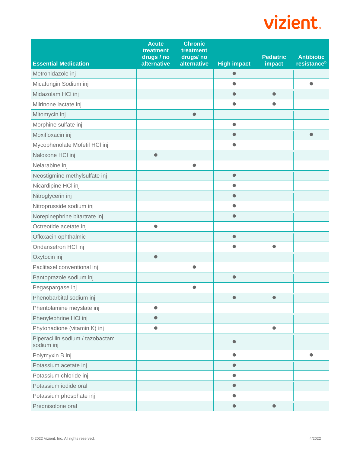| <b>Essential Medication</b>                    | <b>Acute</b><br>treatment<br>drugs / no<br>alternative | <b>Chronic</b><br>treatment<br>drugs/no<br>alternative | <b>High impact</b> | <b>Pediatric</b><br>impact | <b>Antibiotic</b><br>resistance <sup>b</sup> |
|------------------------------------------------|--------------------------------------------------------|--------------------------------------------------------|--------------------|----------------------------|----------------------------------------------|
| Metronidazole inj                              |                                                        |                                                        | $\bullet$          |                            |                                              |
| Micafungin Sodium inj                          |                                                        |                                                        | $\bullet$          |                            | $\bullet$                                    |
| Midazolam HCI inj                              |                                                        |                                                        | $\bullet$          | $\bullet$                  |                                              |
| Milrinone lactate inj                          |                                                        |                                                        | $\bullet$          | $\bullet$                  |                                              |
| Mitomycin inj                                  |                                                        | $\bullet$                                              |                    |                            |                                              |
| Morphine sulfate inj                           |                                                        |                                                        | $\bullet$          |                            |                                              |
| Moxifloxacin inj                               |                                                        |                                                        | $\bullet$          |                            | $\bullet$                                    |
| Mycophenolate Mofetil HCI inj                  |                                                        |                                                        | $\bullet$          |                            |                                              |
| Naloxone HCI inj                               | $\bullet$                                              |                                                        |                    |                            |                                              |
| Nelarabine inj                                 |                                                        | $\bullet$                                              |                    |                            |                                              |
| Neostigmine methylsulfate inj                  |                                                        |                                                        | $\bullet$          |                            |                                              |
| Nicardipine HCI inj                            |                                                        |                                                        | $\bullet$          |                            |                                              |
| Nitroglycerin inj                              |                                                        |                                                        | $\bullet$          |                            |                                              |
| Nitroprusside sodium inj                       |                                                        |                                                        | $\bullet$          |                            |                                              |
| Norepinephrine bitartrate inj                  |                                                        |                                                        | $\bullet$          |                            |                                              |
| Octreotide acetate inj                         | $\bullet$                                              |                                                        |                    |                            |                                              |
| Ofloxacin ophthalmic                           |                                                        |                                                        | $\bullet$          |                            |                                              |
| Ondansetron HCI inj                            |                                                        |                                                        | $\bullet$          | $\bullet$                  |                                              |
| Oxytocin inj                                   | $\bullet$                                              |                                                        |                    |                            |                                              |
| Paclitaxel conventional inj                    |                                                        | $\bullet$                                              |                    |                            |                                              |
| Pantoprazole sodium inj                        |                                                        |                                                        | $\bullet$          |                            |                                              |
| Pegaspargase inj                               |                                                        | $\bullet$                                              |                    |                            |                                              |
| Phenobarbital sodium inj                       |                                                        |                                                        |                    |                            |                                              |
| Phentolamine meyslate inj                      | $\bullet$                                              |                                                        |                    |                            |                                              |
| Phenylephrine HCl inj                          | $\bullet$                                              |                                                        |                    |                            |                                              |
| Phytonadione (vitamin K) inj                   | $\bullet$                                              |                                                        |                    |                            |                                              |
| Piperacillin sodium / tazobactam<br>sodium inj |                                                        |                                                        | $\bullet$          |                            |                                              |
| Polymyxin B inj                                |                                                        |                                                        | $\bullet$          |                            | $\bullet$                                    |
| Potassium acetate inj                          |                                                        |                                                        | $\bullet$          |                            |                                              |
| Potassium chloride inj                         |                                                        |                                                        | $\bullet$          |                            |                                              |
| Potassium iodide oral                          |                                                        |                                                        | $\bullet$          |                            |                                              |
| Potassium phosphate inj                        |                                                        |                                                        | $\bullet$          |                            |                                              |
| Prednisolone oral                              |                                                        |                                                        | $\bullet$          | $\bullet$                  |                                              |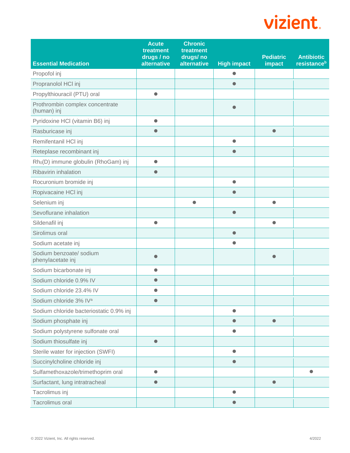|                                                  | <b>Acute</b><br>treatment<br>drugs / no | <b>Chronic</b><br>treatment<br>drugs/no |                        | <b>Pediatric</b> | <b>Antibiotic</b>       |
|--------------------------------------------------|-----------------------------------------|-----------------------------------------|------------------------|------------------|-------------------------|
| <b>Essential Medication</b>                      | alternative                             | alternative                             | <b>High impact</b>     | impact           | resistance <sup>b</sup> |
| Propofol inj                                     |                                         |                                         | $\bullet$<br>$\bullet$ |                  |                         |
| Propranolol HCl inj                              |                                         |                                         |                        |                  |                         |
| Propylthiouracil (PTU) oral                      | $\bullet$                               |                                         |                        |                  |                         |
| Prothrombin complex concentrate<br>(human) inj   |                                         |                                         | $\bullet$              |                  |                         |
| Pyridoxine HCI (vitamin B6) inj                  | $\bullet$                               |                                         |                        |                  |                         |
| Rasburicase inj                                  | $\bullet$                               |                                         |                        | $\bullet$        |                         |
| Remifentanil HCl inj                             |                                         |                                         | $\bullet$              |                  |                         |
| Reteplase recombinant inj                        |                                         |                                         | $\bullet$              |                  |                         |
| Rh <sub>0</sub> (D) immune globulin (RhoGam) inj | $\bullet$                               |                                         |                        |                  |                         |
| Ribavirin inhalation                             | $\bullet$                               |                                         |                        |                  |                         |
| Rocuronium bromide inj                           |                                         |                                         | $\bullet$              |                  |                         |
| Ropivacaine HCI inj                              |                                         |                                         | $\bullet$              |                  |                         |
| Selenium inj                                     |                                         | $\bullet$                               |                        | $\bullet$        |                         |
| Sevoflurane inhalation                           |                                         |                                         | $\bullet$              |                  |                         |
| Sildenafil inj                                   | $\bullet$                               |                                         |                        | $\bullet$        |                         |
| Sirolimus oral                                   |                                         |                                         | $\bullet$              |                  |                         |
| Sodium acetate inj                               |                                         |                                         |                        |                  |                         |
| Sodium benzoate/ sodium<br>phenylacetate inj     |                                         |                                         |                        |                  |                         |
| Sodium bicarbonate inj                           | $\bullet$                               |                                         |                        |                  |                         |
| Sodium chloride 0.9% IV                          | $\bullet$                               |                                         |                        |                  |                         |
| Sodium chloride 23.4% IV                         |                                         |                                         |                        |                  |                         |
| Sodium chloride 3% IVa                           |                                         |                                         |                        |                  |                         |
| Sodium chloride bacteriostatic 0.9% inj          |                                         |                                         | $\bullet$              |                  |                         |
| Sodium phosphate inj                             |                                         |                                         | $\bullet$              | $\bullet$        |                         |
| Sodium polystyrene sulfonate oral                |                                         |                                         | $\bullet$              |                  |                         |
| Sodium thiosulfate inj                           | $\bullet$                               |                                         |                        |                  |                         |
| Sterile water for injection (SWFI)               |                                         |                                         | $\bullet$              |                  |                         |
| Succinylcholine chloride inj                     |                                         |                                         | $\bullet$              |                  |                         |
| Sulfamethoxazole/trimethoprim oral               | $\bullet$                               |                                         |                        |                  | $\bullet$               |
| Surfactant, lung intratracheal                   | $\bullet$                               |                                         |                        | $\bullet$        |                         |
| Tacrolimus inj                                   |                                         |                                         | $\bullet$              |                  |                         |
| Tacrolimus oral                                  |                                         |                                         | $\bullet$              |                  |                         |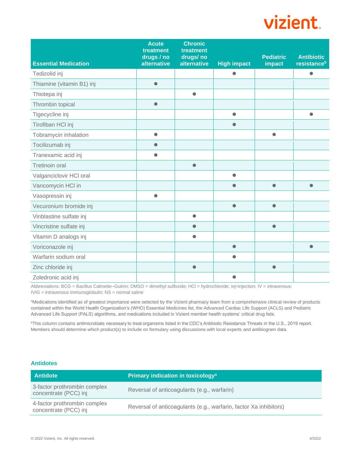| <b>Essential Medication</b> | <b>Acute</b><br>treatment<br>drugs / no<br>alternative | <b>Chronic</b><br>treatment<br>drugs/no<br>alternative | <b>High impact</b> | <b>Pediatric</b><br>impact | <b>Antibiotic</b><br>resistance <sup>b</sup> |
|-----------------------------|--------------------------------------------------------|--------------------------------------------------------|--------------------|----------------------------|----------------------------------------------|
| Tedizolid inj               |                                                        |                                                        | $\bullet$          |                            | $\bullet$                                    |
|                             |                                                        |                                                        |                    |                            |                                              |
| Thiamine (vitamin B1) inj   | $\bullet$                                              |                                                        |                    |                            |                                              |
| Thiotepa inj                |                                                        | $\bullet$                                              |                    |                            |                                              |
| Thrombin topical            | $\bullet$                                              |                                                        |                    |                            |                                              |
| Tigecycline inj             |                                                        |                                                        | $\bullet$          |                            | $\bullet$                                    |
| Tirofiban HCl inj           |                                                        |                                                        | $\bullet$          |                            |                                              |
| Tobramycin inhalation       | $\bullet$                                              |                                                        |                    | $\bullet$                  |                                              |
| Tocilizumab inj             | $\bullet$                                              |                                                        |                    |                            |                                              |
| Tranexamic acid inj         | $\bullet$                                              |                                                        |                    |                            |                                              |
| <b>Tretinoin oral</b>       |                                                        | $\bullet$                                              |                    |                            |                                              |
| Valganciclovir HCl oral     |                                                        |                                                        | $\bullet$          |                            |                                              |
| Vancomycin HCI in           |                                                        |                                                        | ●                  | $\bullet$                  | $\bullet$                                    |
| Vasopressin inj             | $\bullet$                                              |                                                        |                    |                            |                                              |
| Vecuronium bromide inj      |                                                        |                                                        | $\bullet$          | $\bullet$                  |                                              |
| Vinblastine sulfate inj     |                                                        | $\bullet$                                              |                    |                            |                                              |
| Vincristine sulfate inj     |                                                        | $\bullet$                                              |                    | $\bullet$                  |                                              |
| Vitamin D analogs inj       |                                                        | $\bullet$                                              |                    |                            |                                              |
| Voriconazole inj            |                                                        |                                                        | $\bullet$          |                            | $\bullet$                                    |
| Warfarin sodium oral        |                                                        |                                                        | ●                  |                            |                                              |
| Zinc chloride inj           |                                                        | $\bullet$                                              |                    | $\bullet$                  |                                              |
| Zoledronic acid inj         |                                                        |                                                        | ●                  |                            |                                              |

Abbreviations: BCG = Bacillus Calmette–Guérin; DMSO = dimethyl sulfoxide; HCl = hydrochloride; inj=injection; IV = intravenous; IVIG = intravenous immunoglobulin; NS = normal saline

aMedications identified as of greatest importance were selected by the Vizient pharmacy team from a comprehensive clinical review of products contained within the World Health Organization's (WHO) Essential Medicines list, the Advanced Cardiac Life Support (ACLS) and Pediatric Advanced Life Support (PALS) algorithms, and medications included in Vizient member health systems' critical drug lists.

<sup>b</sup>This column contains antimicrobials necessary to treat organisms listed in the CDC's Antibiotic Resistance Threats in the U.S., 2019 report. Members should determine which product(s) to include on formulary using discussions with local experts and antibiogram data.

#### **Antidotes**

| <b>Antidote</b>                                       | Primary indication in toxicology <sup>a</sup>                     |
|-------------------------------------------------------|-------------------------------------------------------------------|
| 3-factor prothrombin complex<br>concentrate (PCC) inj | Reversal of anticoagulants (e.g., warfarin)                       |
| 4-factor prothrombin complex<br>concentrate (PCC) inj | Reversal of anticoagulants (e.g., warfarin, factor Xa inhibitors) |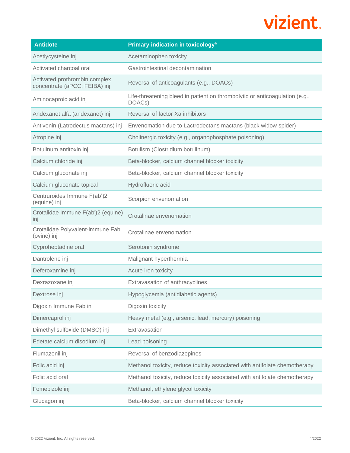| <b>Antidote</b>                                                | Primary indication in toxicology <sup>a</sup>                                         |
|----------------------------------------------------------------|---------------------------------------------------------------------------------------|
| Acetlycysteine inj                                             | Acetaminophen toxicity                                                                |
| Activated charcoal oral                                        | Gastrointestinal decontamination                                                      |
| Activated prothrombin complex<br>concentrate (aPCC; FEIBA) inj | Reversal of anticoagulants (e.g., DOACs)                                              |
| Aminocaproic acid inj                                          | Life-threatening bleed in patient on thrombolytic or anticoagulation (e.g.,<br>DOACs) |
| Andexanet alfa (andexanet) inj                                 | Reversal of factor Xa inhibitors                                                      |
| Antivenin (Latrodectus mactans) inj                            | Envenomation due to Lactrodectans mactans (black widow spider)                        |
| Atropine inj                                                   | Cholinergic toxicity (e.g., organophosphate poisoning)                                |
| Botulinum antitoxin inj                                        | Botulism (Clostridium botulinum)                                                      |
| Calcium chloride inj                                           | Beta-blocker, calcium channel blocker toxicity                                        |
| Calcium gluconate inj                                          | Beta-blocker, calcium channel blocker toxicity                                        |
| Calcium gluconate topical                                      | Hydrofluoric acid                                                                     |
| Centruroides Immune F(ab')2<br>(equine) inj                    | Scorpion envenomation                                                                 |
| Crotalidae Immune F(ab')2 (equine)<br>inj                      | Crotalinae envenomation                                                               |
| Crotalidae Polyvalent-immune Fab<br>(ovine) inj                | Crotalinae envenomation                                                               |
| Cyproheptadine oral                                            | Serotonin syndrome                                                                    |
| Dantrolene inj                                                 | Malignant hyperthermia                                                                |
| Deferoxamine inj                                               | Acute iron toxicity                                                                   |
| Dexrazoxane inj                                                | Extravasation of anthracyclines                                                       |
| Dextrose inj                                                   | Hypoglycemia (antidiabetic agents)                                                    |
| Digoxin Immune Fab inj                                         | Digoxin toxicity                                                                      |
| Dimercaprol inj                                                | Heavy metal (e.g., arsenic, lead, mercury) poisoning                                  |
| Dimethyl sulfoxide (DMSO) inj                                  | Extravasation                                                                         |
| Edetate calcium disodium inj                                   | Lead poisoning                                                                        |
| Flumazenil inj                                                 | Reversal of benzodiazepines                                                           |
| Folic acid inj                                                 | Methanol toxicity, reduce toxicity associated with antifolate chemotherapy            |
| Folic acid oral                                                | Methanol toxicity, reduce toxicity associated with antifolate chemotherapy            |
| Fomepizole inj                                                 | Methanol, ethylene glycol toxicity                                                    |
| Glucagon inj                                                   | Beta-blocker, calcium channel blocker toxicity                                        |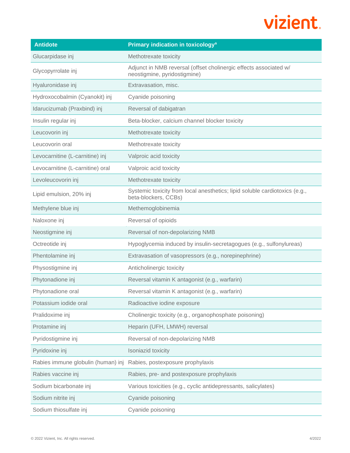| <b>Antidote</b>                    | Primary indication in toxicology <sup>a</sup>                                                       |
|------------------------------------|-----------------------------------------------------------------------------------------------------|
| Glucarpidase inj                   | Methotrexate toxicity                                                                               |
| Glycopyrrolate inj                 | Adjunct in NMB reversal (offset cholinergic effects associated w/<br>neostigmine, pyridostigmine)   |
| Hyaluronidase inj                  | Extravasation, misc.                                                                                |
| Hydroxocobalmin (Cyanokit) inj     | Cyanide poisoning                                                                                   |
| Idarucizumab (Praxbind) inj        | Reversal of dabigatran                                                                              |
| Insulin regular inj                | Beta-blocker, calcium channel blocker toxicity                                                      |
| Leucovorin inj                     | Methotrexate toxicity                                                                               |
| Leucovorin oral                    | Methotrexate toxicity                                                                               |
| Levocarnitine (L-carnitine) inj    | Valproic acid toxicity                                                                              |
| Levocarnitine (L-carnitine) oral   | Valproic acid toxicity                                                                              |
| Levoleucovorin inj                 | Methotrexate toxicity                                                                               |
| Lipid emulsion, 20% inj            | Systemic toxicity from local anesthetics; lipid soluble cardiotoxics (e.g.,<br>beta-blockers, CCBs) |
| Methylene blue inj                 | Methemoglobinemia                                                                                   |
| Naloxone inj                       | Reversal of opioids                                                                                 |
| Neostigmine inj                    | Reversal of non-depolarizing NMB                                                                    |
| Octreotide inj                     | Hypoglycemia induced by insulin-secretagogues (e.g., sulfonylureas)                                 |
| Phentolamine inj                   | Extravasation of vasopressors (e.g., norepinephrine)                                                |
| Physostigmine inj                  | Anticholinergic toxicity                                                                            |
| Phytonadione inj                   | Reversal vitamin K antagonist (e.g., warfarin)                                                      |
| Phytonadione oral                  | Reversal vitamin K antagonist (e.g., warfarin)                                                      |
| Potassium iodide oral              | Radioactive iodine exposure                                                                         |
| Pralidoxime inj                    | Cholinergic toxicity (e.g., organophosphate poisoning)                                              |
| Protamine inj                      | Heparin (UFH, LMWH) reversal                                                                        |
| Pyridostigmine inj                 | Reversal of non-depolarizing NMB                                                                    |
| Pyridoxine inj                     | Isoniazid toxicity                                                                                  |
| Rabies immune globulin (human) inj | Rabies, postexposure prophylaxis                                                                    |
| Rabies vaccine inj                 | Rabies, pre- and postexposure prophylaxis                                                           |
| Sodium bicarbonate inj             | Various toxicities (e.g., cyclic antidepressants, salicylates)                                      |
| Sodium nitrite inj                 | Cyanide poisoning                                                                                   |
| Sodium thiosulfate inj             | Cyanide poisoning                                                                                   |